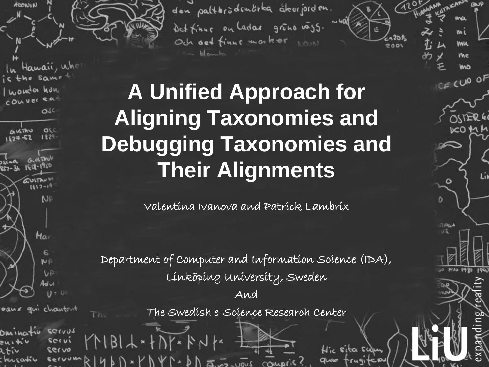

den paltbrödemörka åkerjorden. Det finne on Ladar grono vass. Och det finne morker 1000

ma

ML

**VAIA** 

me

CE CUP OF

 $\circ$ 

Liv

2001

Hir sita sum

# **A Unified Approach for Aligning Taxonomies and Debugging Taxonomies and Their Alignments**

Valentina Ivanova and Patrick Lambrix

Department of Computer and Information Science (IDA), Linköping University, Sweden

And

The Swedish e-Science Research Center

l

i

 $ECVV3$ servi servo chercativ servum

eaux qui chautent

The

KNBIL++DK+BNK

 $\cdot$  PNY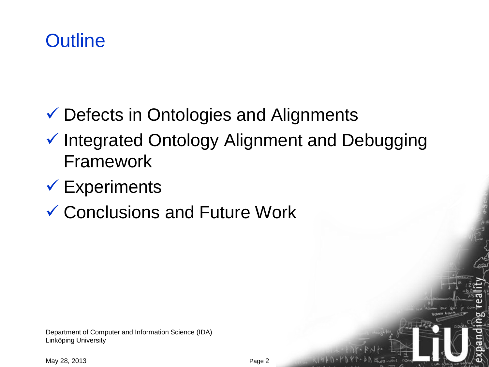- Defects in Ontologies and Alignments
- $\checkmark$  Integrated Ontology Alignment and Debugging Framework
- $\checkmark$  Experiments
- Conclusions and Future Work

Department of Computer and Information Science (IDA) Linköping University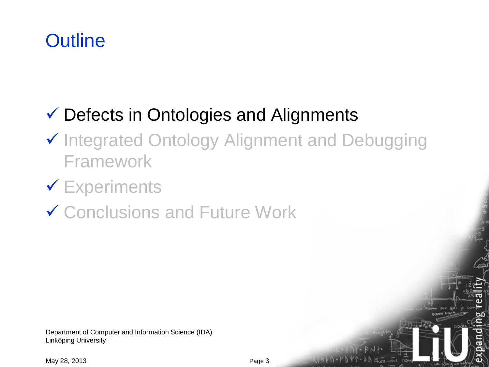#### Defects in Ontologies and Alignments

- ✔ Integrated Ontology Alignment and Debugging Framework
- **V** Experiments
- **✓ Conclusions and Future Work**

Department of Computer and Information Science (IDA) Linköping University

May 28, 2013

Auez-uout com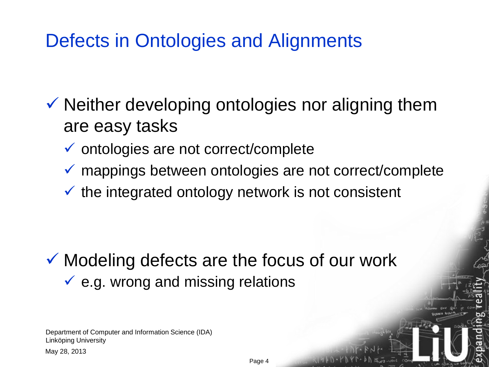# Defects in Ontologies and Alignments

 $\checkmark$  Neither developing ontologies nor aligning them are easy tasks

- $\checkmark$  ontologies are not correct/complete
- mappings between ontologies are not correct/complete
- $\checkmark$  the integrated ontology network is not consistent

 $\checkmark$  Modeling defects are the focus of our work  $\checkmark$  e.g. wrong and missing relations

Department of Computer and Information Science (IDA) Linköping University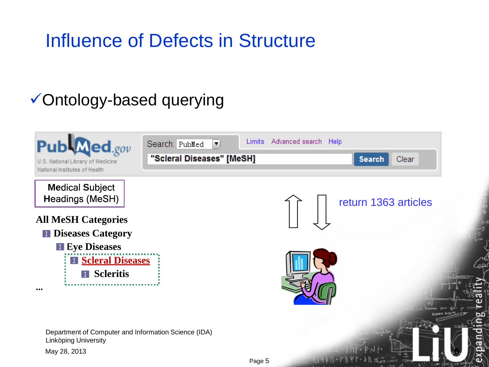# Influence of Defects in Structure

#### Ontology-based querying

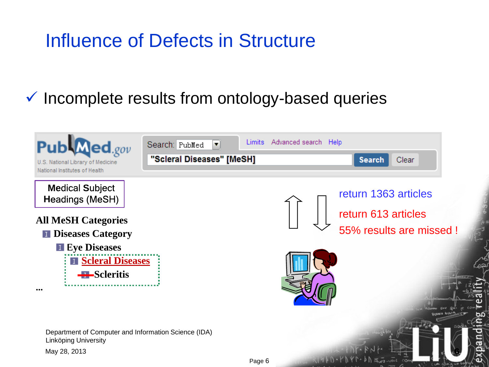# Influence of Defects in Structure

#### $\checkmark$  Incomplete results from ontology-based queries

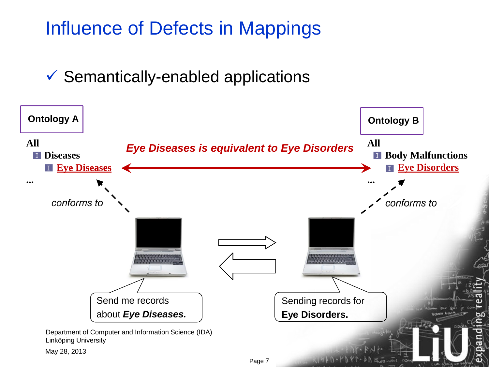# Influence of Defects in Mappings

 $\checkmark$  Semantically-enabled applications

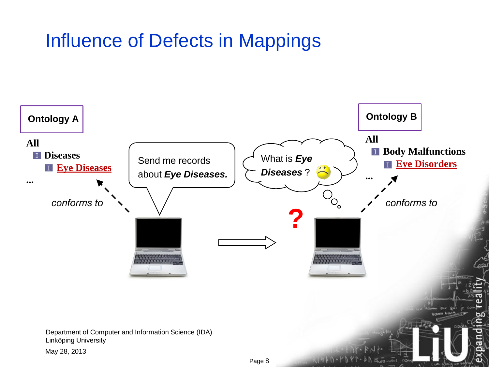# Influence of Defects in Mappings

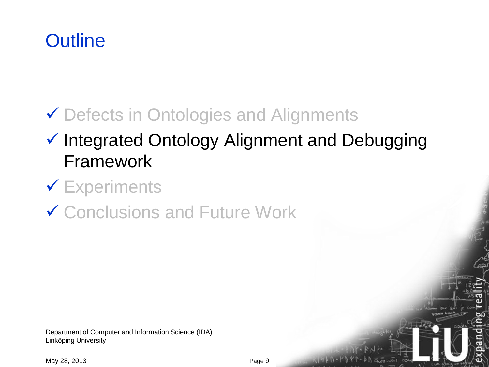# ◆ Defects in Ontologies and Alignments

## $\checkmark$  Integrated Ontology Alignment and Debugging Framework

#### **V** Experiments

#### ✔ Conclusions and Future Work

Department of Computer and Information Science (IDA) Linköping University

May 28, 2013

Auez-uput COA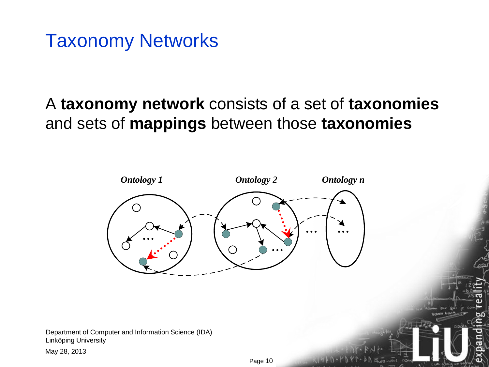#### Taxonomy Networks

#### A **taxonomy network** consists of a set of **taxonomies**  and sets of **mappings** between those **taxonomies**



Department of Computer and Information Science (IDA) Linköping University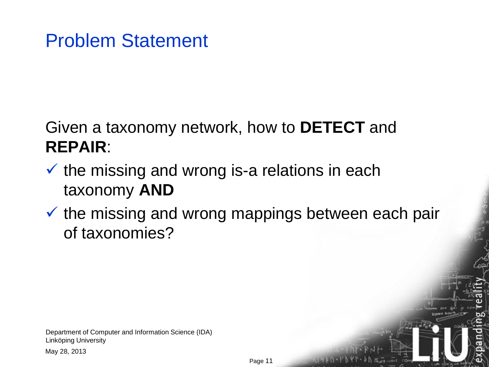#### Problem Statement

#### Given a taxonomy network, how to **DETECT** and **REPAIR**:

- $\checkmark$  the missing and wrong is-a relations in each taxonomy **AND**
- $\checkmark$  the missing and wrong mappings between each pair of taxonomies?

Department of Computer and Information Science (IDA) Linköping University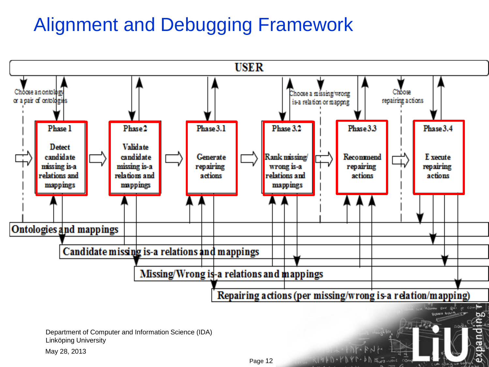# Alignment and Debugging Framework



CUM COWIE HIS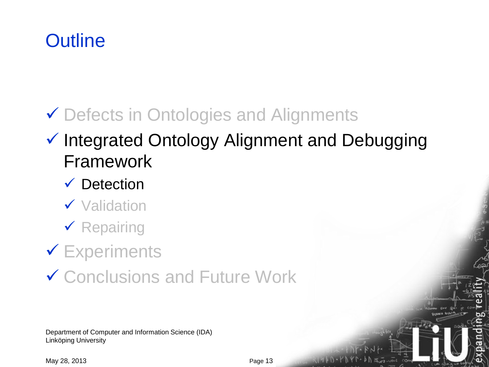# ◆ Defects in Ontologies and Alignments

#### $\checkmark$  Integrated Ontology Alignment and Debugging Framework

#### $\checkmark$  Detection

- ✔ Validation
- $\checkmark$  Repairing

# **V** Experiments

✔ Conclusions and Future Work

Department of Computer and Information Science (IDA) Linköping University

May 28, 2013

Auez-uput COA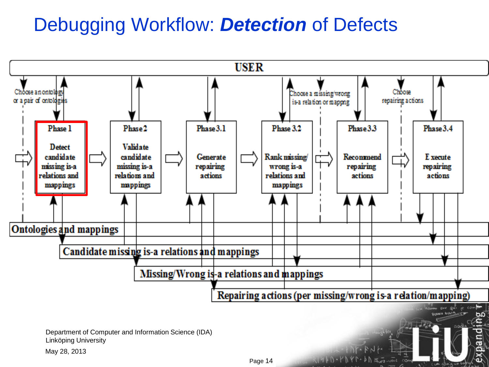# Debugging Workflow: *Detection* of Defects

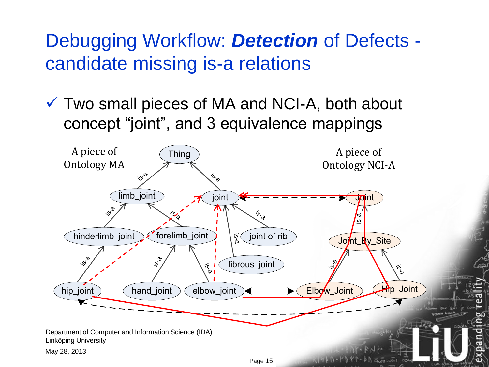# Debugging Workflow: *Detection* of Defects candidate missing is-a relations

 Two small pieces of MA and NCI-A, both about concept "joint", and 3 equivalence mappings

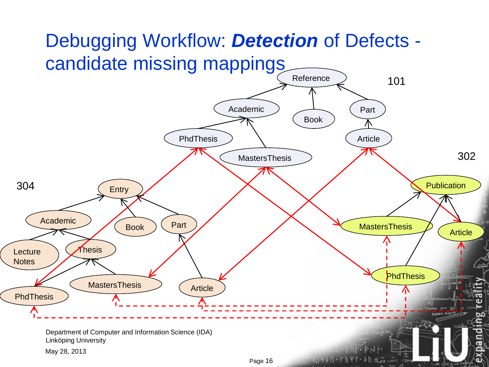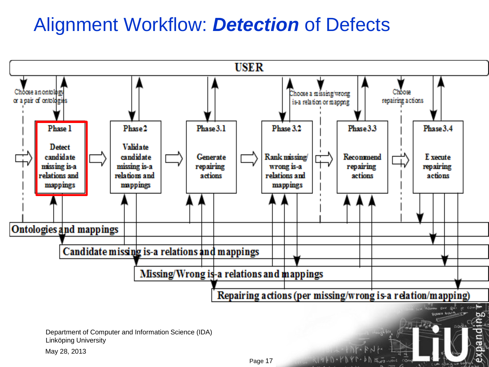# Alignment Workflow: *Detection* of Defects

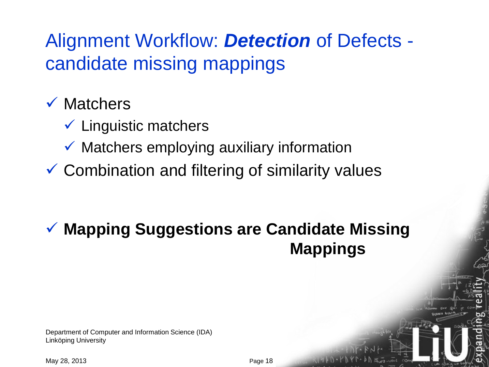# Alignment Workflow: *Detection* of Defects candidate missing mappings

#### $\checkmark$  Matchers

- $\checkmark$  Linguistic matchers
- $\checkmark$  Matchers employing auxiliary information
- $\checkmark$  Combination and filtering of similarity values

#### **Mapping Suggestions are Candidate Missing Mappings**

Department of Computer and Information Science (IDA) Linköping University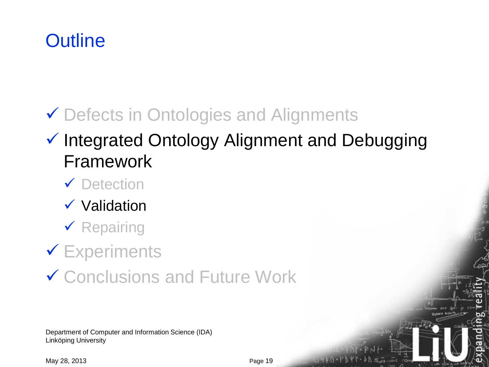# ◆ Defects in Ontologies and Alignments

#### $\checkmark$  Integrated Ontology Alignment and Debugging Framework

- **✓** Detection
- $\checkmark$  Validation
- $\checkmark$  Repairing
- **V** Experiments
- ✔ Conclusions and Future Work

Department of Computer and Information Science (IDA) Linköping University

May 28, 2013

Auez-uput COA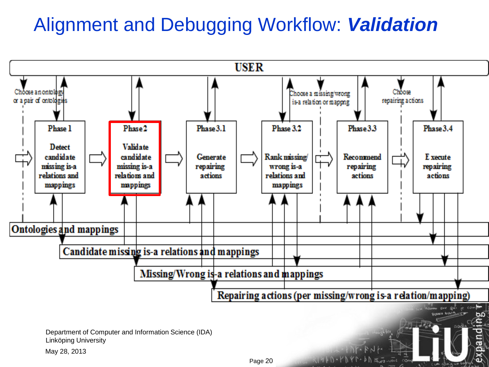# Alignment and Debugging Workflow: *Validation*

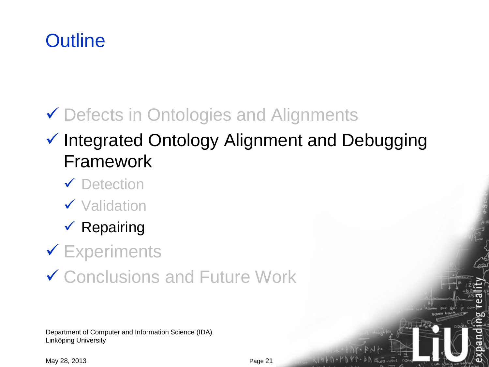# ◆ Defects in Ontologies and Alignments

#### $\checkmark$  Integrated Ontology Alignment and Debugging Framework

- **✓** Detection
- $\checkmark$  Validation
- $\checkmark$  Repairing
- **V** Experiments
- ✔ Conclusions and Future Work

Department of Computer and Information Science (IDA) Linköping University

May 28, 2013

Auez-uput COA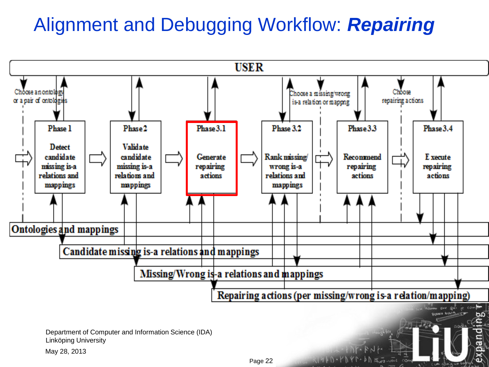# Alignment and Debugging Workflow: *Repairing*



CUM COULD NO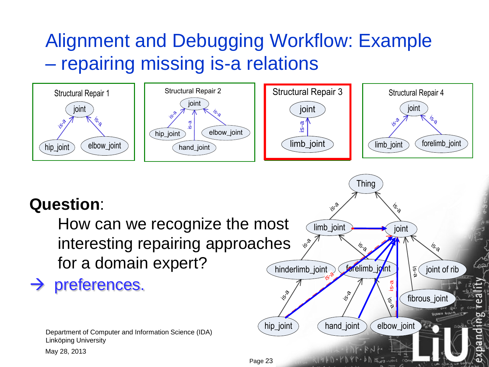# Alignment and Debugging Workflow: Example – repairing missing is-a relations



#### **Question**:

How can we recognize the most interesting repairing approaches for a domain expert?

#### $\rightarrow$  preferences.

Department of Computer and Information Science (IDA) Linköping University

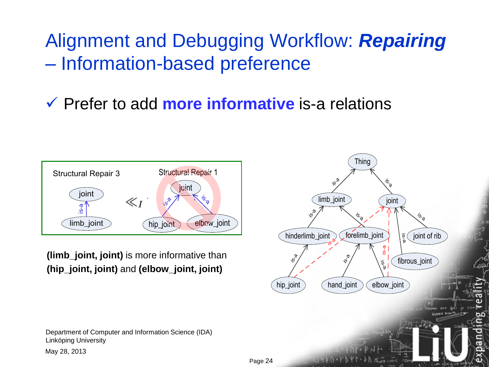Alignment and Debugging Workflow: *Repairing* – Information-based preference

Prefer to add **more informative** is-a relations



**(limb\_joint, joint)** is more informative than **(hip\_joint, joint)** and **(elbow\_joint, joint)**

Department of Computer and Information Science (IDA) Linköping University

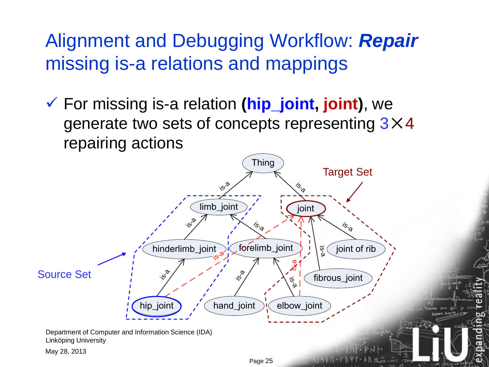Alignment and Debugging Workflow: *Repair* missing is-a relations and mappings

 For missing is-a relation **(hip\_joint, joint)**, we generate two sets of concepts representing 3×4 repairing actions

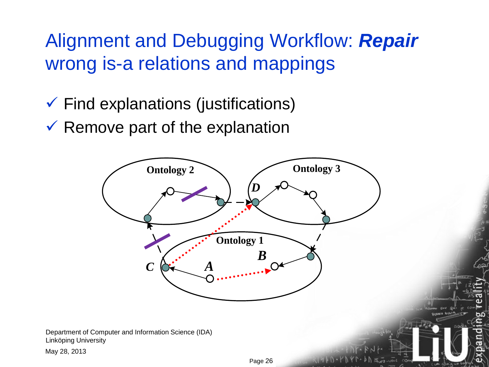Alignment and Debugging Workflow: *Repair* wrong is-a relations and mappings

- $\checkmark$  Find explanations (justifications)
- $\checkmark$  Remove part of the explanation

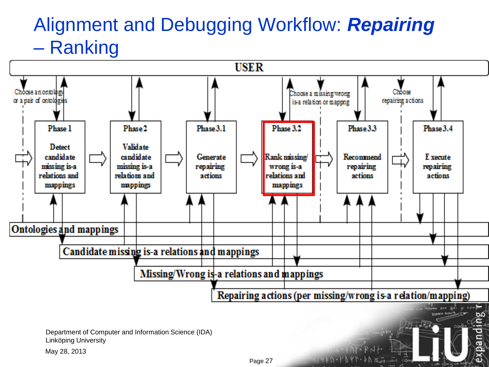## Alignment and Debugging Workflow: *Repairing* – Ranking



**CUM COWIE HE**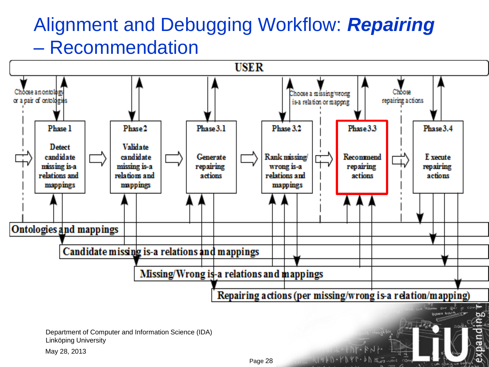## Alignment and Debugging Workflow: *Repairing* – Recommendation



Page 28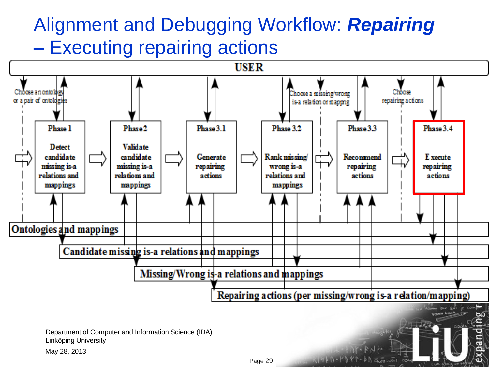# Alignment and Debugging Workflow: *Repairing* – Executing repairing actions

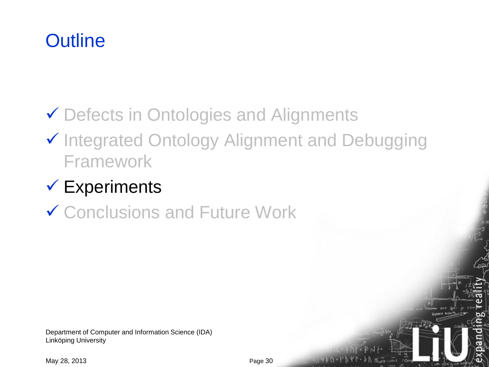# ◆ Defects in Ontologies and Alignments

#### ✔ Integrated Ontology Alignment and Debugging Framework

# $\checkmark$  Experiments

#### ✔ Conclusions and Future Work

Department of Computer and Information Science (IDA) Linköping University

May 28, 2013

 $N H P D - F N Y$ 

 $\ln 1$   $\frac{1}{2}$   $\frac{1}{2}$   $\frac{1}{2}$   $\frac{1}{2}$   $\frac{1}{2}$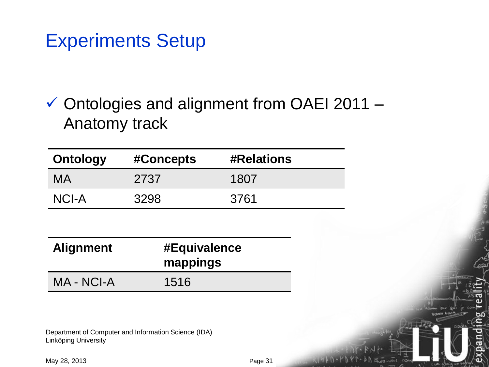#### Experiments Setup

 $\checkmark$  Ontologies and alignment from OAEI 2011 – Anatomy track

| <b>Ontology</b> | #Concepts | <b>#Relations</b> |
|-----------------|-----------|-------------------|
| MA              | 2737      | 1807              |
| NCI-A           | 3298      | 3761              |

| <b>Alignment</b> | #Equivalence<br>mappings |
|------------------|--------------------------|
| MA - NCI-A       | 1516                     |

Department of Computer and Information Science (IDA) Linköping University

May 28, 2013

 $\overline{A}_{\text{UCT}}$  - UDIT

 $COA$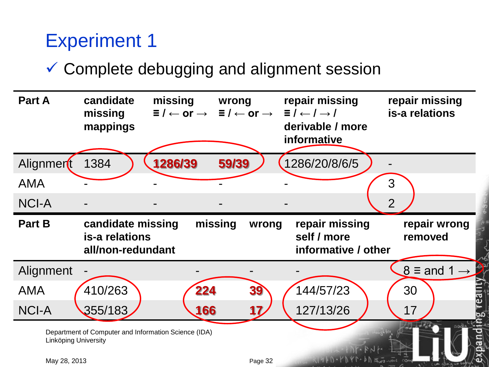# Experiment 1

#### Complete debugging and alignment session

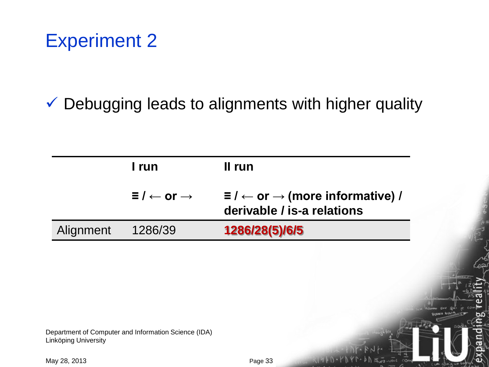# Experiment 2

#### $\checkmark$  Debugging leads to alignments with higher quality

|           | I run                                 | II run                                                                                   |
|-----------|---------------------------------------|------------------------------------------------------------------------------------------|
|           | $\Xi$ / $\leftarrow$ or $\rightarrow$ | $\Xi$ / $\leftarrow$ or $\rightarrow$ (more informative) /<br>derivable / is-a relations |
| Alignment | 1286/39                               | 1286/28(5)/6/5                                                                           |

Department of Computer and Information Science (IDA) Linköping University

May 28, 2013

Auez-UDIT COM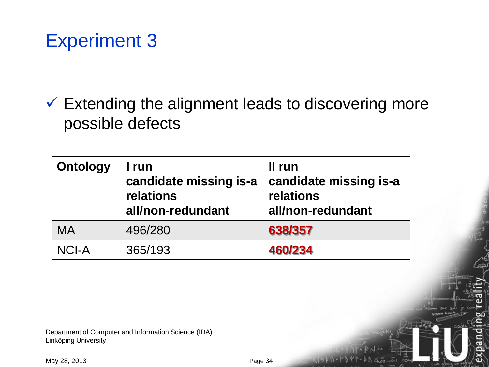# Experiment 3

 $\checkmark$  Extending the alignment leads to discovering more possible defects

| <b>Ontology</b> | I run<br>candidate missing is-a<br>relations<br>all/non-redundant | II run<br>candidate missing is-a<br>relations<br>all/non-redundant |
|-----------------|-------------------------------------------------------------------|--------------------------------------------------------------------|
| MA              | 496/280                                                           | 638/357                                                            |
| NCI-A           | 365/193                                                           | 460/234                                                            |

Department of Computer and Information Science (IDA) Linköping University

 $400 - 500$ 

 $COA$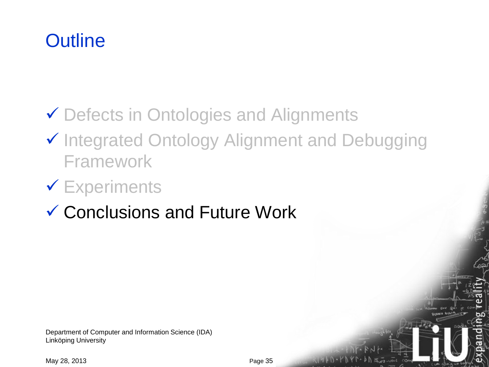## ◆ Defects in Ontologies and Alignments

✔ Integrated Ontology Alignment and Debugging Framework

# **V** Experiments

Conclusions and Future Work

Department of Computer and Information Science (IDA) Linköping University

May 28, 2013

 $\ln 1$   $\frac{1}{2}$   $\frac{1}{2}$   $\frac{1}{2}$   $\frac{1}{2}$   $\frac{1}{2}$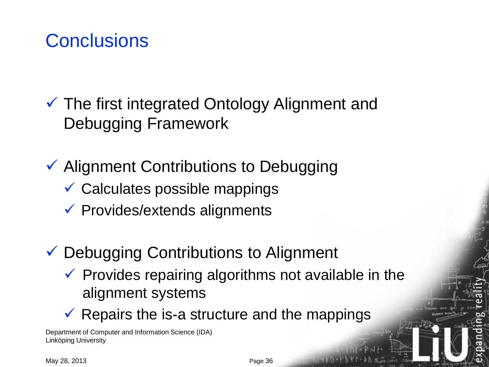## **Conclusions**

 The first integrated Ontology Alignment and Debugging Framework

 $\checkmark$  Alignment Contributions to Debugging

- $\checkmark$  Calculates possible mappings
- $\checkmark$  Provides/extends alignments
- Debugging Contributions to Alignment
	- $\checkmark$  Provides repairing algorithms not available in the alignment systems
	- $\checkmark$  Repairs the is-a structure and the mappings

Department of Computer and Information Science (IDA) Linköping University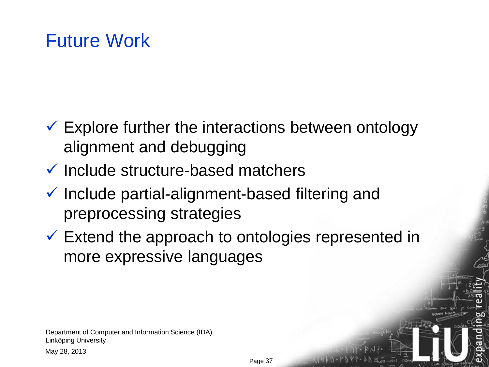## Future Work

- $\checkmark$  Explore further the interactions between ontology alignment and debugging
- $\checkmark$  Include structure-based matchers
- $\checkmark$  Include partial-alignment-based filtering and preprocessing strategies
- $\checkmark$  Extend the approach to ontologies represented in more expressive languages

Department of Computer and Information Science (IDA) Linköping University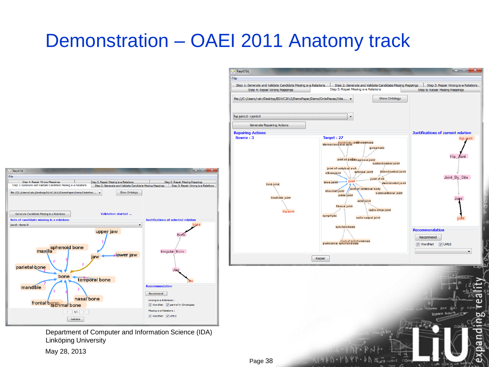# Demonstration – OAEI 2011 Anatomy track



Department of Computer and Information Science (IDA) Linköping University

May 28, 2013

| <b>B</b> RepOSE                                                          |                                                                                                                                                                                                                                                                                                                                                                                                                                                                                                                              | ولايتهم                                                                                                   |
|--------------------------------------------------------------------------|------------------------------------------------------------------------------------------------------------------------------------------------------------------------------------------------------------------------------------------------------------------------------------------------------------------------------------------------------------------------------------------------------------------------------------------------------------------------------------------------------------------------------|-----------------------------------------------------------------------------------------------------------|
| File                                                                     |                                                                                                                                                                                                                                                                                                                                                                                                                                                                                                                              |                                                                                                           |
| Step 1: Generate and Validate Candidate Missing is-a Relations           | Step 2: Generate and Validate Candidate Missing Mappings                                                                                                                                                                                                                                                                                                                                                                                                                                                                     | Step 3: Repair Wrong is-a Relations                                                                       |
| Step 4: Repair Wrong Mappings                                            | Step 5: Repair Missing is-a Relations                                                                                                                                                                                                                                                                                                                                                                                                                                                                                        | Step 6: Repair Missing Mappings                                                                           |
| file:///C:/Users/valiv/Desktop/ESWC2013/DemoPaper/Demo/OntoPieces/Vide ▼ | Show Ontology                                                                                                                                                                                                                                                                                                                                                                                                                                                                                                                |                                                                                                           |
| hip joint:0->joint:0                                                     |                                                                                                                                                                                                                                                                                                                                                                                                                                                                                                                              |                                                                                                           |
| Generate Repairing Actions                                               |                                                                                                                                                                                                                                                                                                                                                                                                                                                                                                                              |                                                                                                           |
| <b>Repairing Actions</b>                                                 |                                                                                                                                                                                                                                                                                                                                                                                                                                                                                                                              | Justifications of current relation                                                                        |
| Source: 3                                                                | Target: 27                                                                                                                                                                                                                                                                                                                                                                                                                                                                                                                   | hip joint                                                                                                 |
| limb joint<br>hindlimb joint<br>hip joint                                | sacroiliae jointndesmosis<br>sternoclavicular joint<br>gomphosis<br>joint of gird Rilaginous joint<br>costochondral joint<br>joint of vertebral arch<br>interchondral joint<br>synovial joint<br>elbow-joint<br>joint of rib<br>joint<br>knee joint<br>sternocostal joint<br>joint of vertebral body<br>shoulder joint<br>costovertebral joint<br>ankle joint<br>wrist joint<br>fibrous joint<br>radio-ulnar joint<br>symphysis<br>radio-carpal joint<br>synchondrosis<br>eranial synchondrosis<br>posteranial synchondrosis | Hip_Joint<br>Joint_By_Site<br>Joint<br>ioint<br><b>Recommendation</b><br>Recommend<br>V UMLS<br>V WordNet |
|                                                                          | Repair                                                                                                                                                                                                                                                                                                                                                                                                                                                                                                                       |                                                                                                           |
| Page 38                                                                  |                                                                                                                                                                                                                                                                                                                                                                                                                                                                                                                              |                                                                                                           |